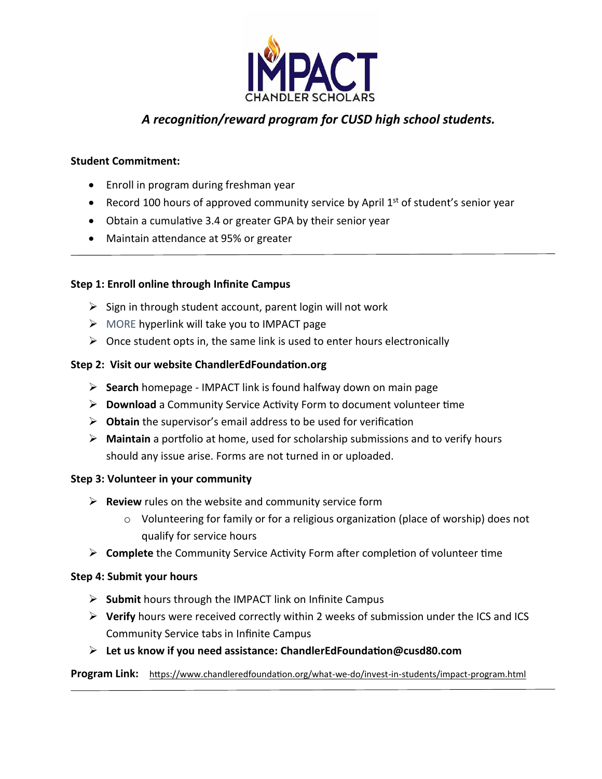

# *A recognition/reward program for CUSD high school students.*

# **Student Commitment:**

- Enroll in program during freshman year
- Record 100 hours of approved community service by April 1<sup>st</sup> of student's senior year
- Obtain a cumulative 3.4 or greater GPA by their senior year
- Maintain attendance at 95% or greater

## **Step 1: Enroll online through Infinite Campus**

- $\triangleright$  Sign in through student account, parent login will not work
- ➢ MORE hyperlink will take you to IMPACT page
- $\triangleright$  Once student opts in, the same link is used to enter hours electronically

#### **Step 2: Visit our website ChandlerEdFoundation.org**

- ➢ **Search** homepage IMPACT link is found halfway down on main page
- ➢ **Download** a Community Service Activity Form to document volunteer time
- ➢ **Obtain** the supervisor's email address to be used for verification
- ➢ **Maintain** a portfolio at home, used for scholarship submissions and to verify hours should any issue arise. Forms are not turned in or uploaded.

#### **Step 3: Volunteer in your community**

- ➢ **Review** rules on the website and community service form
	- o Volunteering for family or for a religious organization (place of worship) does not qualify for service hours
- ➢ **Complete** the Community Service Activity Form after completion of volunteer time

## **Step 4: Submit your hours**

- ➢ **Submit** hours through the IMPACT link on Infinite Campus
- ➢ **Verify** hours were received correctly within 2 weeks of submission under the ICS and ICS Community Service tabs in Infinite Campus
- ➢ **Let us know if you need assistance: ChandlerEdFoundation@cusd80.com**

**Program Link:** <https://www.chandleredfoundation.org/what-we-do/invest-in-students/impact-program.html>